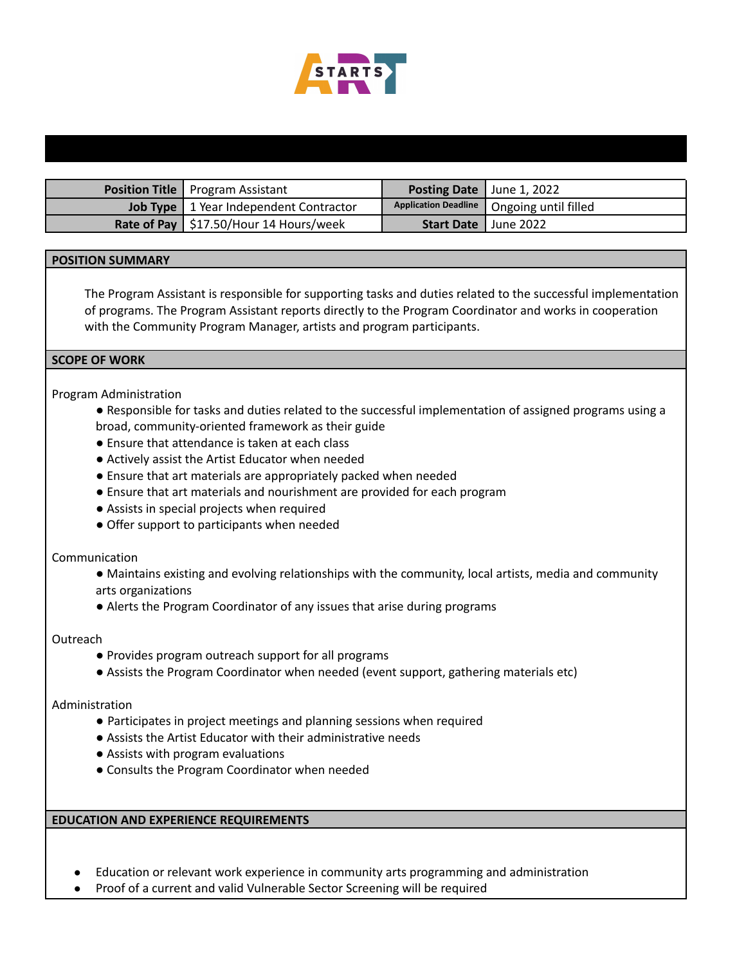

| <b>Position Title   Program Assistant</b>       | <b>Posting Date</b> June 1, 2022 |                                             |
|-------------------------------------------------|----------------------------------|---------------------------------------------|
| <b>Job Type</b>   1 Year Independent Contractor |                                  | Application Deadline   Ongoing until filled |
| Rate of Pay   $$17.50/Hour 14$ Hours/week       | <b>Start Date   June 2022</b>    |                                             |

# **POSITION SUMMARY**

The Program Assistant is responsible for supporting tasks and duties related to the successful implementation of programs. The Program Assistant reports directly to the Program Coordinator and works in cooperation with the Community Program Manager, artists and program participants.

#### **SCOPE OF WORK**

### Program Administration

- Responsible for tasks and duties related to the successful implementation of assigned programs using a broad, community-oriented framework as their guide
- Ensure that attendance is taken at each class
- Actively assist the Artist Educator when needed
- Ensure that art materials are appropriately packed when needed
- Ensure that art materials and nourishment are provided for each program
- Assists in special projects when required
- Offer support to participants when needed

### Communication

- Maintains existing and evolving relationships with the community, local artists, media and community arts organizations
- Alerts the Program Coordinator of any issues that arise during programs

#### **Outreach**

- Provides program outreach support for all programs
- Assists the Program Coordinator when needed (event support, gathering materials etc)

### Administration

- Participates in project meetings and planning sessions when required
- Assists the Artist Educator with their administrative needs
- Assists with program evaluations
- Consults the Program Coordinator when needed

# **EDUCATION AND EXPERIENCE REQUIREMENTS**

- Education or relevant work experience in community arts programming and administration
- Proof of a current and valid Vulnerable Sector Screening will be required